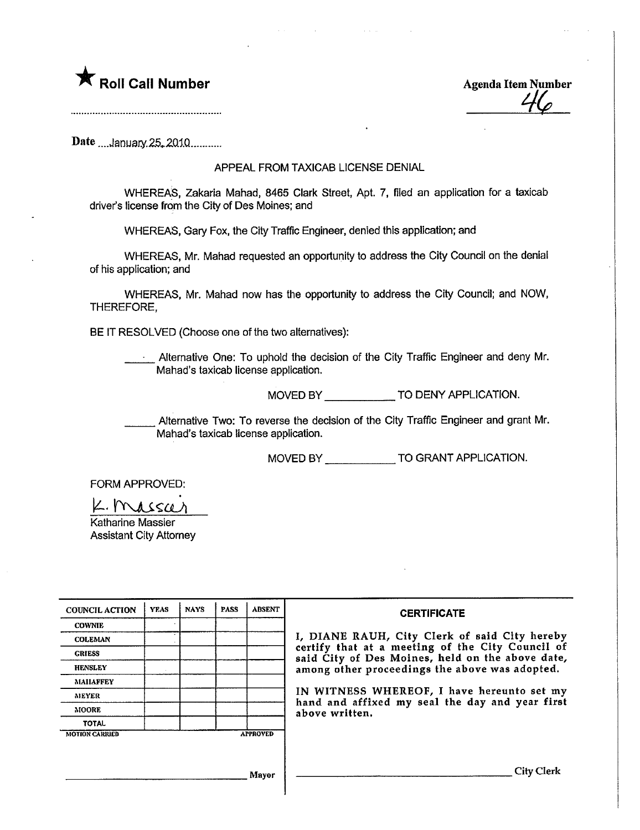**\*** Roll Call Number Agenda Item Number

 $4\%$ 

Date .... January. 25, 2010............

# APPEAL FROM TAXICAB LICENSE DENIAL

WHEREAS, Zakaria Mahad, 8465 Clark Street, Apt. 7, fied an application for a taxicab driver's license from the City of Des Moines; and

WHEREAS, Gary Fox, the City Traffic Engineer, denied this application; and

WHEREAS, Mr. Mahad requested an opportunity to address the City Council on the denial of his application; and

WHEREAS, Mr. Mahad now has the opportunity to address the City Council; and NOW, THEREFORE,

BE IT RESOLVED (Choose one of the two alternatives):

-- Alternative One: To uphold the decision of the City Traffc Engineer and deny Mr. Mahad's taxicab license application.

MOVED BY TO DENY APPLICATION.

Alternative Two: To reverse the decision of the City Traffic Engineer and grant Mr. Mahad's taxicab license application.

MOVED BY TO GRANT APPLICATION.

FORM APPROVED:

 $K.$  Massier<br>Katharine Massier

Assistant City Attorney

| <b>COUNCIL ACTION</b> | <b>YEAS</b> | <b>NAYS</b> | <b>PASS</b> | <b>ABSENT</b>   | <b>CERTIFICATE</b>                                                                                   |
|-----------------------|-------------|-------------|-------------|-----------------|------------------------------------------------------------------------------------------------------|
| <b>COWNIE</b>         |             |             |             |                 |                                                                                                      |
| <b>COLEMAN</b>        |             |             |             |                 | I, DIANE RAUH, City Clerk of said City hereby                                                        |
| <b>GRIESS</b>         |             |             |             |                 | certify that at a meeting of the City Council of<br>said City of Des Moines, held on the above date, |
| <b>HENSLEY</b>        |             |             |             |                 | among other proceedings the above was adopted.                                                       |
| <b>MAILAFFEY</b>      |             |             |             |                 |                                                                                                      |
| MEYER                 |             |             |             |                 | IN WITNESS WHEREOF, I have hereunto set my                                                           |
| <b>MOORE</b>          |             |             |             |                 | hand and affixed my seal the day and year first<br>above written.                                    |
| <b>TOTAL</b>          |             |             |             |                 |                                                                                                      |
| <b>MOTION CARRIED</b> |             |             |             | <b>APPROVED</b> |                                                                                                      |
|                       |             |             |             |                 |                                                                                                      |
|                       |             |             |             |                 |                                                                                                      |
|                       |             |             |             | Mayor           | <b>City Clerk</b>                                                                                    |
|                       |             |             |             |                 |                                                                                                      |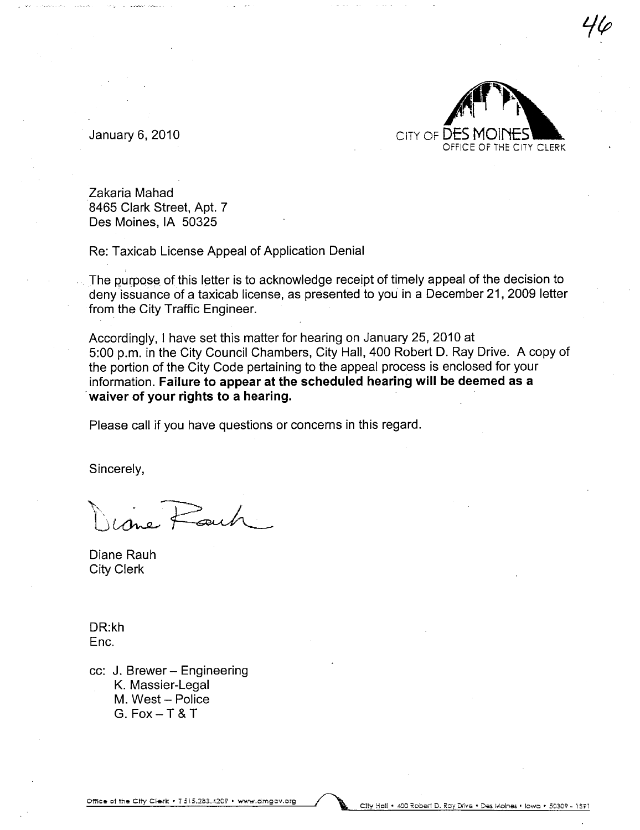

 $7\varphi$ 

Zakaria Mahad 8465 Clark Street, Apt. 7 Des Moines, IA 50325

Re: Taxicab License Appeal of Application Denial

The purpose of this letter is to acknowledge receipt of timely appeal of the decision to deny issuance of a taxicab license, as presented to you in a December 21,2009 letter from the City Traffic Engineer.

Accordingly, i have set this matter for hearing on January 25, 2010 at 5:00 p.m. in the City Council Chambers, City Hall, 400 Robert D. Ray Drive. A copy of the portion of the City Code pertaining to the appeal process is enclosed for your information. Failure to appear at the scheduled hearing will be deemed as a . waiver of your rights to a hearing.

Please call if you have questions or concerns in this regard.

Sincerely,

ine Fait

Diane Rauh City Clerk

DR:kh Enc.

cc: J. Brewer - Engineering K. Massier-Legal M. West - Police G. Fox  $-$  T & T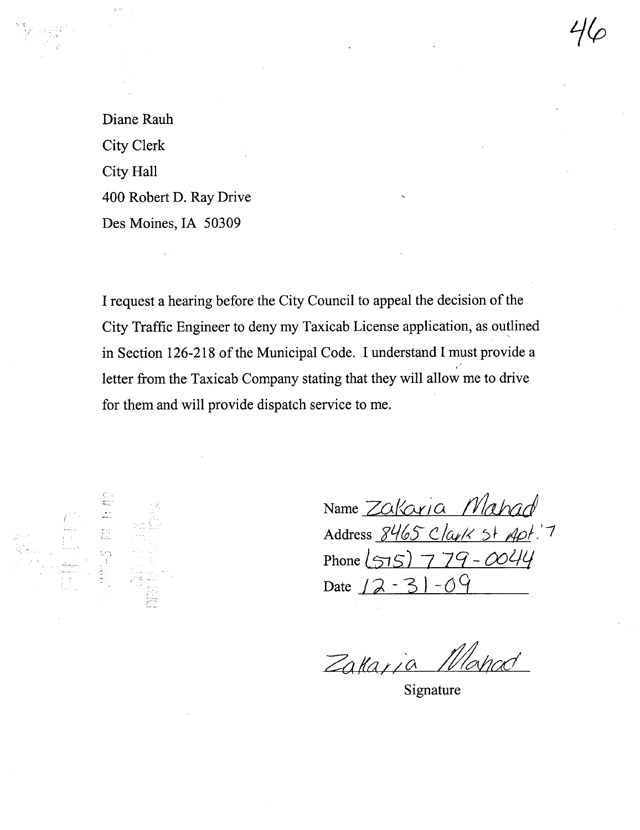Diane Rauh **City Clerk** City Hall 400 Robert D. Ray Drive Des Moines, IA 50309

I request a hearing before the City Council to appeal the decision of the City Traffic Engineer to deny my Taxicab License application, as outlined in Section 126-218 of the Municipal Code. I understand I must provide a letter from the Taxicab Company stating that they will allow me to drive for them and will provide dispatch service to me.

Name Zakaria Mahad Address 8465 Clark St Apt: 7 Phone  $(515)$  7 79 - 0044 Date  $12 - 31 - 09$ 

Zallaria

Signature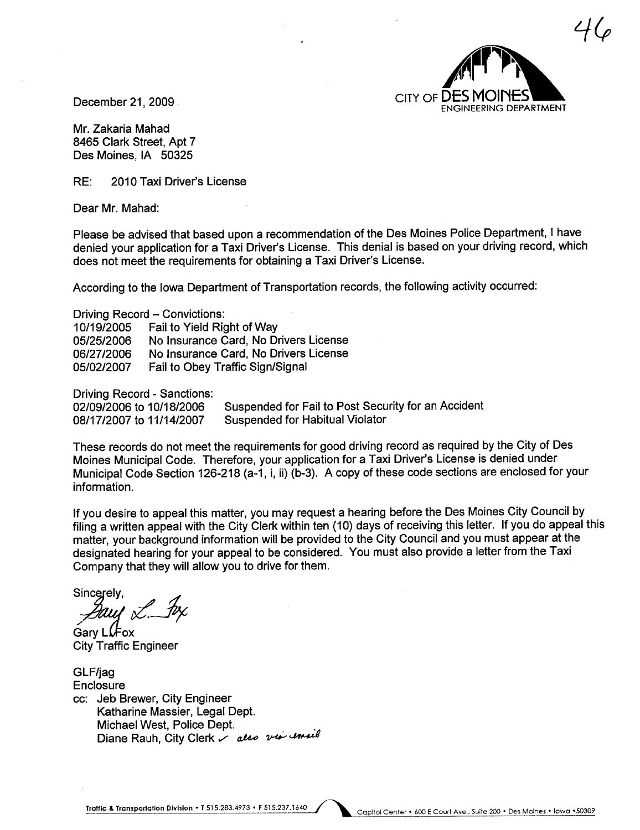

December 21, 2009

Mr. Zakaria Mahad 8465 Clark Street, Apt 7 Des Moines, IA 50325

RE: 2010 Taxi Driver's License

Dear Mr. Mahad:

Please be advised that based upon a recommendation of the Des Moines Police Department, I have denied your application for a Taxi Driver's License. This denial is based on your driving record, which does not meet the requirements for obtaining a Taxi Driver's License.

According to the Iowa Department of Transportation records, the following activity occurred:

Driving Record - Convictions:<br>10/19/2005 Fail to Yield Ric

**Fail to Yield Right of Way** OS/25/2006 No Insurance Card, No Drivers License 06/27/2006 No Insurance Card, No Drivers License<br>05/02/2007 Fail to Obey Traffic Sign/Signal Fail to Obey Traffic Sign/Signal

Driving Record - Sanctions:

02/09/2006 to 10/18/2006 08/17/2007 to 11/14/2007 Suspended for Fail to Post Security for an Accident Suspended for Habitual Violator

These records do not meet the requirements for good driving record as required by the City of Des Moines Municipal Code. Therefore, your application for a Taxi Driver's License is denied under Municipal Code Section 126-218 (a-1, i, ii) (b-3). A copy of these code sections are enclosed for your information.

If you desire to appeal this matter, you may request a hearing before the Des Moines City Council by filing a written appeal with the City Clerk within ten (10) days of receiving this letter. If you do appeal this matter, your background information will be provided to the City Council and you must appear at the designated hearing for your appeal to be considered. You must also provide a letter from the Taxi Company that they will allow you to drive for them.

Sincerely,

 $/$  faug L. Jex

**Gary LLFox City Traffic Engineer** 

GLF/jag **Enclosure** cc: Jeb Brewer, City Engineer Katharine Massier, Legal Dept. Michael West, Police Dept. Diane Rauh, City Clerk  $\dot{\mathcal{L}}$  also vio inside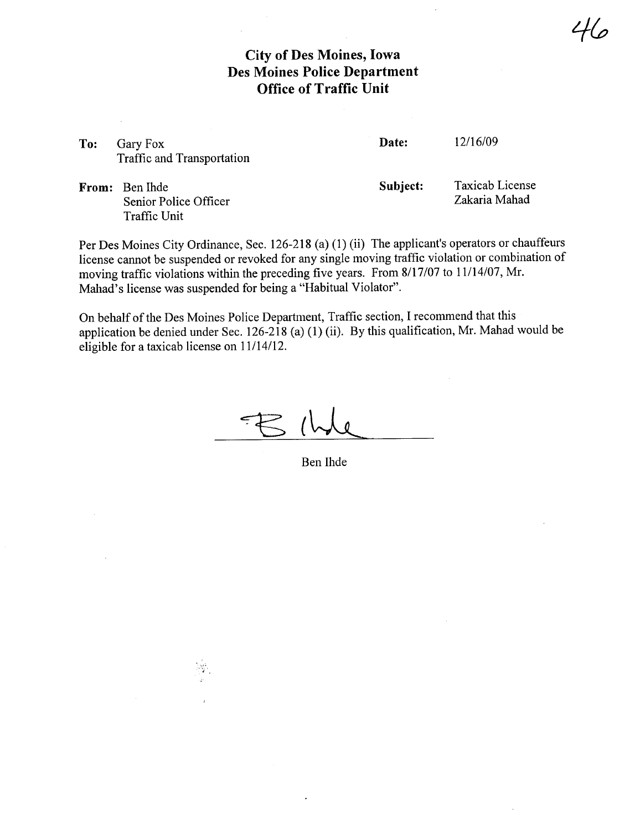# City of Des Moines, Iowa Des Moines Police Department Office of Traffic Unit

To: Gary Fox Traffic and Transportation

Date:  $12/16/09$ 

Subject: Taxicab License Zakaria Mahad

From: Ben Ihde Senior Police Officer Traffic Unit

Per Des Moines City Ordinance, Sec. 126-218 (a) (1) (ii) The applicant's operators or chauffeurs license canot be suspended or revoked for any single moving traffic violation or combination of moving traffic violations within the preceding five years. From 8/17/07 to 11/14/07, Mr. Mahad's license was suspended for being a "Habitual Violator".

On behalf of the Des Moines Police Deparment, Traffc section, I recommend that this application be denied under Sec. 126-218 (a) (1) (ii). By this qualification, Mr. Mahad would be eligible for a taxicab license on 11/14/12.

 $\frac{1}{10}$ 

Ben Ihde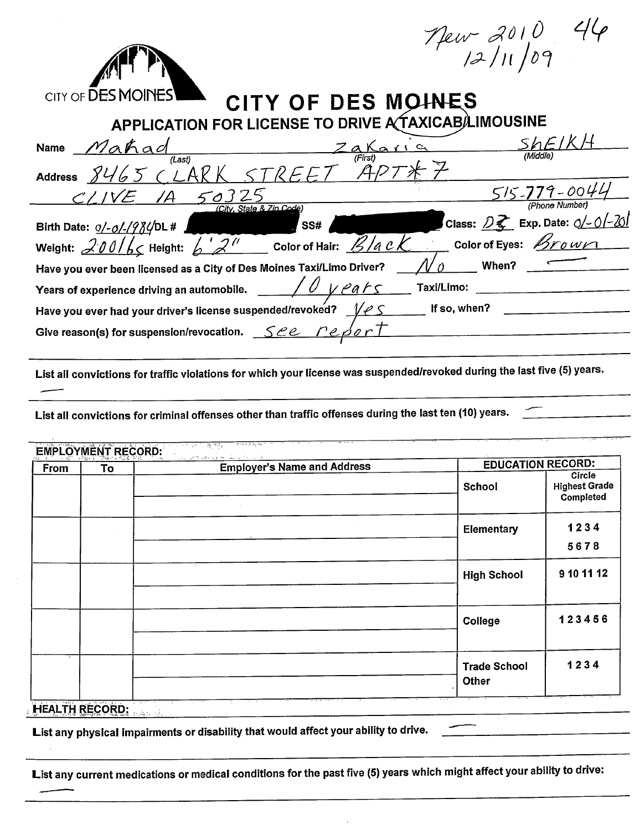|                                                                                     | $72010$ 4<br>$121100$                                                                |
|-------------------------------------------------------------------------------------|--------------------------------------------------------------------------------------|
| CITY OF <b>DES MOINES</b><br>CITY OF DES MOINES                                     |                                                                                      |
| APPLICATION FOR LICENSE TO DRIVE A TAXICABALIMOUSINE                                |                                                                                      |
| Mahad<br><b>Name</b><br>a Ka<br>(First)                                             | ShE/KH                                                                               |
| (Last)<br>Address $8465$                                                            |                                                                                      |
| 50325<br><i>○IVE</i><br>$\angle A$                                                  | $515 - 779 - 0044$                                                                   |
| (City, State & Zin Code)<br>SS#<br>Birth Date: 0/-0/-/984/DL #                      | Class: $\mathcal{D}$ Exp. Date: $\mathcal{O}/\mathcal{\sim}$ 0/ $\mathcal{\sim}$ 20/ |
| Weight: $200/\text{K}$ Height: $\text{h}'2''$ Color of Hair: $\text{K}/\text{a cK}$ | Color of Eyes: Brown                                                                 |
| Have you ever been licensed as a City of Des Moines Taxi/Limo Driver?               | When?                                                                                |
| pars<br>Years of experience driving an automobile.                                  | Taxi/Limo:                                                                           |
| Have you ever had your driver's license suspended/revoked?<br>$V \in \mathcal{S}$   | If so, when?                                                                         |
| Give reason(s) for suspension/revocation. $\sqrt{5e^2}$                             |                                                                                      |

List all convictions for traffic violations for which your license was suspended/revoked during the last five (5) years.

List all convictions for criminal offenses other than traffic offenses during the last ten (10) years.

**EMPLOYMÊNT RECORD: EDUCATION RECORD: Employer's Name and Address** From To Circle **Highest Grade School** Completed 1234 Elementary 5678 9 10 11 12 **High School** 123456 College 1234 **Trade School** Other HEALTH RECORD:

List any physical impairments or disability that would affect your ability to drive.

List any current medications or medical conditions for the past five (5) years which might affect your ability to drive: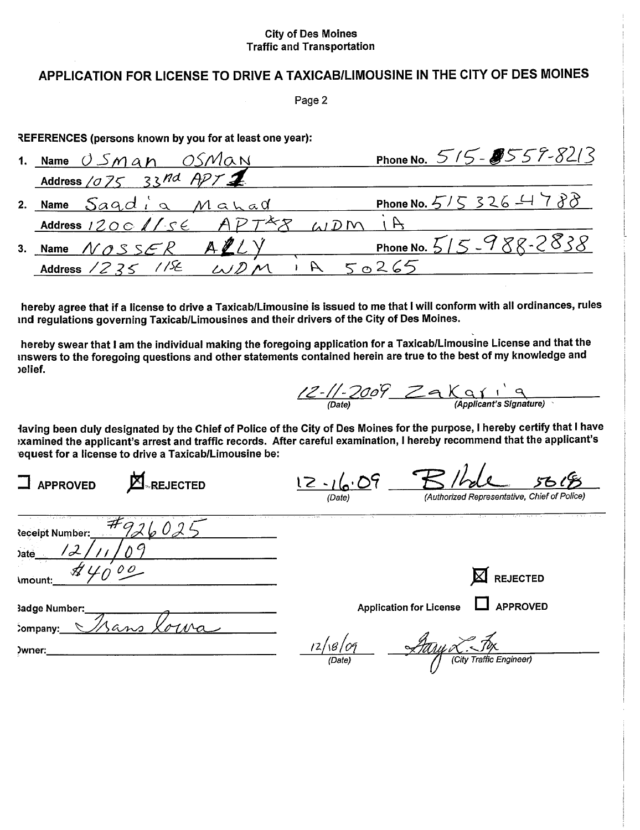# **City of Des Moines Traffic and Transportation**

# APPLICATION FOR LICENSE TO DRIVE A TAXICAB/LIMOUSINE IN THE CITY OF DES MOINES

Page 2

REFERENCES (persons known by you for at least one year):

| 1. Name $OSMAN$ $OSMAN$                                 | Phone No. $515 - 8557 - 8213$ |
|---------------------------------------------------------|-------------------------------|
| Address $1075$ 33 nd APT                                |                               |
| 2. Name Saadia Mahad                                    | Phone No. $5/5$ 326 4788      |
| Address 1200 // SE APT <sup>4</sup> 8 WDM               | $\overrightarrow{A}$          |
| 3. Name $NOSSER$ ALLY                                   | Phone No. $5/5 - 988 - 2838$  |
| Address $/2.35$ // $\frac{1}{2}$<br>$R$ $50265$<br>LIDM |                               |

hereby agree that if a license to drive a Taxicab/Limousine is issued to me that I will conform with all ordinances, rules and regulations governing Taxicab/Limousines and their drivers of the City of Des Moines.

hereby swear that I am the individual making the foregoing application for a Taxicab/Limousine License and that the answers to the foregoing questions and other statements contained herein are true to the best of my knowledge and belief.

 $\frac{12-\frac{1}{200}7}{\frac{1}{2000}-\frac{1}{200}}$   $\frac{1}{200}$   $\frac{1}{200}$   $\frac{1}{200}$ 

laving been duly designated by the Chief of Police of the City of Des Moines for the purpose, I hereby certify that I have examined the applicant's arrest and traffic records. After careful examination, I hereby recommend that the applicant's equest for a license to drive a Taxicab/Limousine be:

| $\Box$<br><b>APPROVED</b> | <b>REJECTED</b> | $12 - 16.09$<br>(Date) | (Authorized Representative, Chief of Police) | 'S              |
|---------------------------|-----------------|------------------------|----------------------------------------------|-----------------|
| Receipt Number:           |                 |                        |                                              |                 |
| <b>Jate</b>               |                 |                        |                                              |                 |
| <b>\mount:</b>            |                 |                        | $\boxtimes$                                  | <b>REJECTED</b> |
| <b>Badge Number:</b>      |                 |                        | <b>Application for License</b>               | <b>APPROVED</b> |
| company:                  |                 |                        |                                              |                 |
| )wner:                    |                 | 18<br>(Date)           | (City Traffic Engineer)                      |                 |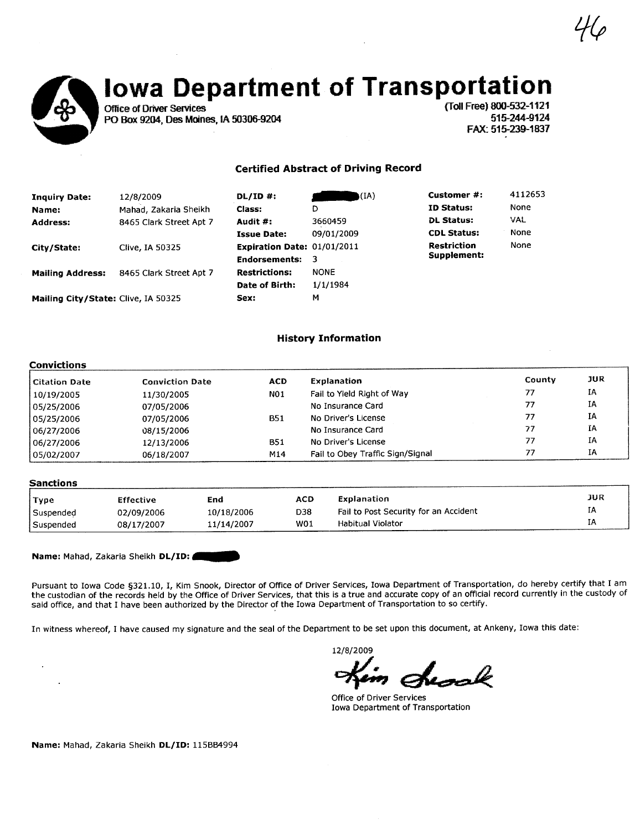Office of Driver Services<br>PO Box 9204, Des Moines, IA 50306-9204<br>FAX: 515-239-1837<br>FAX: 515-239-1837

74

# Certified Abstract of Driving Record

| <b>Inquiry Date:</b>                | 12/8/2009               | $DL/ID$ #:                  | (IA)        | Customer #:        | 4112653 |
|-------------------------------------|-------------------------|-----------------------------|-------------|--------------------|---------|
| Name:                               | Mahad, Zakaria Sheikh   | Class:                      | D           | <b>ID Status:</b>  | None    |
| <b>Address:</b>                     | 8465 Clark Street Apt 7 | Audit #:                    | 3660459     | <b>DL Status:</b>  | VAL     |
|                                     |                         | <b>Issue Date:</b>          | 09/01/2009  | <b>CDL Status:</b> | None    |
| City/State:                         | Clive, IA 50325         | Expiration Date: 01/01/2011 |             | <b>Restriction</b> | None    |
|                                     |                         | <b>Endorsements:</b>        |             | Supplement:        |         |
| <b>Mailing Address:</b>             | 8465 Clark Street Apt 7 | <b>Restrictions:</b>        | <b>NONE</b> |                    |         |
|                                     |                         | Date of Birth:              | 1/1/1984    |                    |         |
| Mailing City/State: Clive, IA 50325 |                         | Sex:                        | м           |                    |         |

## History Information

| <b>Convictions</b> |                        |            |                                  |        |     |  |
|--------------------|------------------------|------------|----------------------------------|--------|-----|--|
| l Citation Date    | <b>Conviction Date</b> | <b>ACD</b> | <b>Explanation</b>               | County | JUR |  |
| 10/19/2005         | 11/30/2005             | <b>N01</b> | Fail to Yield Right of Way       | 77     | ΙA  |  |
| 05/25/2006         | 07/05/2006             |            | No Insurance Card                | 77     | IΑ  |  |
| 05/25/2006         | 07/05/2006             | <b>B51</b> | No Driver's License              | 77     | ΙA  |  |
| 06/27/2006         | 08/15/2006             |            | No Insurance Card                | 77     | ĪΑ  |  |
| 06/27/2006         | 12/13/2006             | <b>B51</b> | No Driver's License              | 77     | ΙA  |  |
| 05/02/2007         | 06/18/2007             | M14        | Fail to Obey Traffic Sign/Signal | 77     | ΙA  |  |

### Sanctions

| Type      | Effective  | End        | ACD. | Explanation                           | JUR |
|-----------|------------|------------|------|---------------------------------------|-----|
| Suspended | 02/09/2006 | 10/18/2006 | D38  | Fail to Post Security for an Accident | IΑ  |
| Suspended | 08/17/2007 | 11/14/2007 | W01  | Habitual Violator                     | IΑ  |

Name: Mahad, Zakaria Sheikh DL/ID:

Pursuant to Iowa Code §321.10, I, Kim Snook, Director of Office of Driver Services, Iowa Department of Transportation, do hereby certify that I am the custodian of the records held by the Office of Driver Services, that this is a true and accurate copy of an offcial record currently in the custody of said office, and that I have been authorized by the Director of the Iowa Department of Transportation to so certify.

In witness whereof, I have caused my signature and the seal of the Department to be set upon this document, at Ankeny, Iowa this date:

12/8/2009 12/8/2009<br>Office of Driver Services

Office of Driver Services Iowa Department of Transportation

Name: Mahad, Zakaria Sheikh DL/ID: 115664994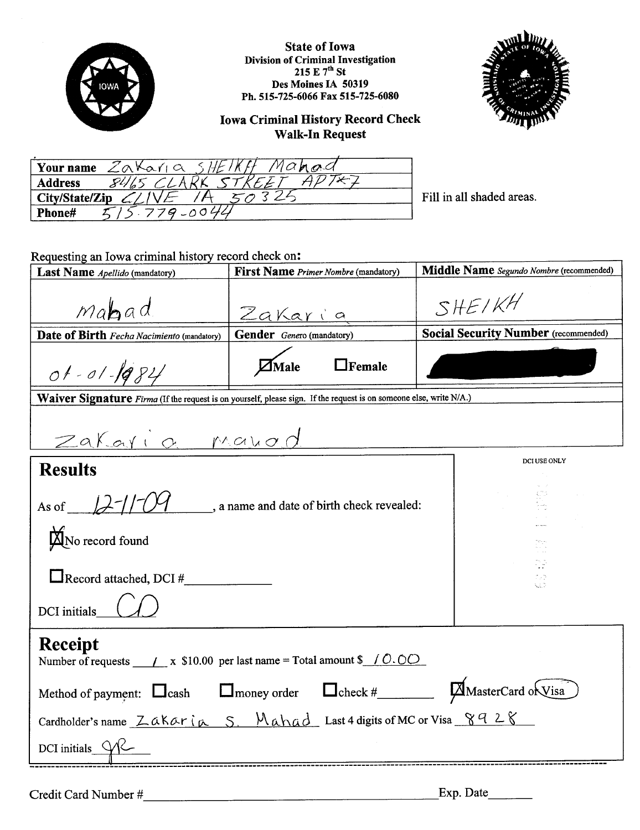

**State of Iowa** Division of Criminal Investigation<br>215 E  $7^{\text{th}}$  St Des Moines IA 50319 Ph. 515-725-6066 Fax 515-725-6080



# **Iowa Criminal History Record Check Walk-In Request**

| Mahad<br>Your name<br>$Z$ akarıa SHEIKFF |                           |
|------------------------------------------|---------------------------|
| <b>Address</b>                           |                           |
| City/State/Zip $\angle$ // $\angle$      | Fill in all shaded areas. |
| $79 - 0044$<br>Phone#                    |                           |

# Requesting an Iowa criminal history record check on:

| Last Name Apellido (mandatory)                                                                                                                                                                                      | First Name Primer Nombre (mandatory) | Middle Name Segundo Nombre (recommended)    |  |  |  |
|---------------------------------------------------------------------------------------------------------------------------------------------------------------------------------------------------------------------|--------------------------------------|---------------------------------------------|--|--|--|
| mabad                                                                                                                                                                                                               | Zakaria                              | SHEIKH                                      |  |  |  |
| <b>Date of Birth</b> Fecha Nacimiento (mandatory)                                                                                                                                                                   | <b>Gender</b> Genero (mandatory)     | <b>Social Security Number</b> (recommended) |  |  |  |
| $01 - 01 - 1984$                                                                                                                                                                                                    | $\Box$ Male<br>$\Box$ Female         |                                             |  |  |  |
| Waiver Signature Firma (If the request is on yourself, please sign. If the request is on someone else, write N/A.)                                                                                                  |                                      |                                             |  |  |  |
|                                                                                                                                                                                                                     | <u>Zakaria mauod</u>                 |                                             |  |  |  |
| <b>Results</b>                                                                                                                                                                                                      |                                      | <b>DCI USE ONLY</b>                         |  |  |  |
| As of $\Box$ ///// a name and date of birth check revealed:<br>No record found<br>$\Box$ Record attached, DCI #<br>čV.<br><b>DCI</b> initials                                                                       |                                      |                                             |  |  |  |
| <b>Receipt</b><br>Number of requests $\frac{1}{1}$ x \$10.00 per last name = Total amount \$ $(0.00)$<br>Cardholder's name $Zakari\alpha$ S. Mahad Last 4 digits of MC or Visa $8928$<br>DCI initials $\mathcal{U}$ |                                      |                                             |  |  |  |

Credit Card Number # 1999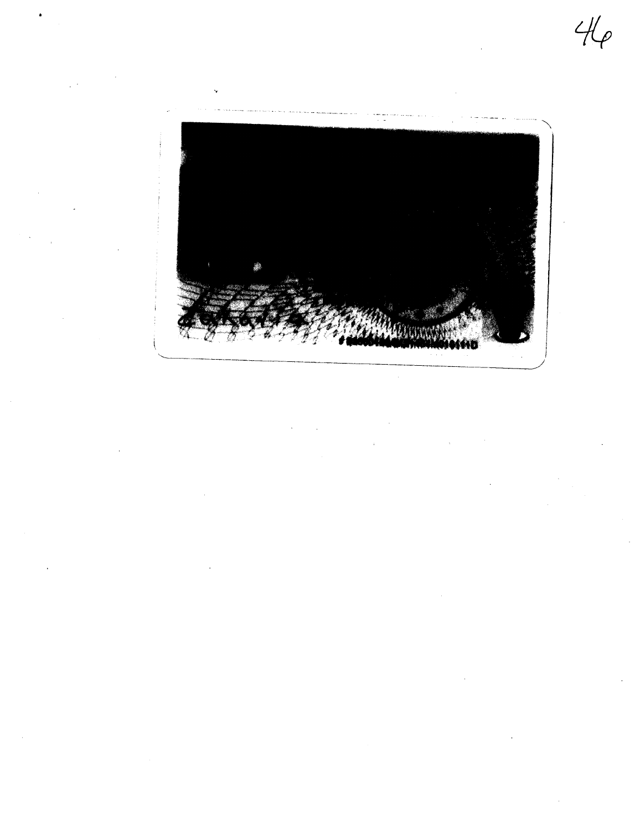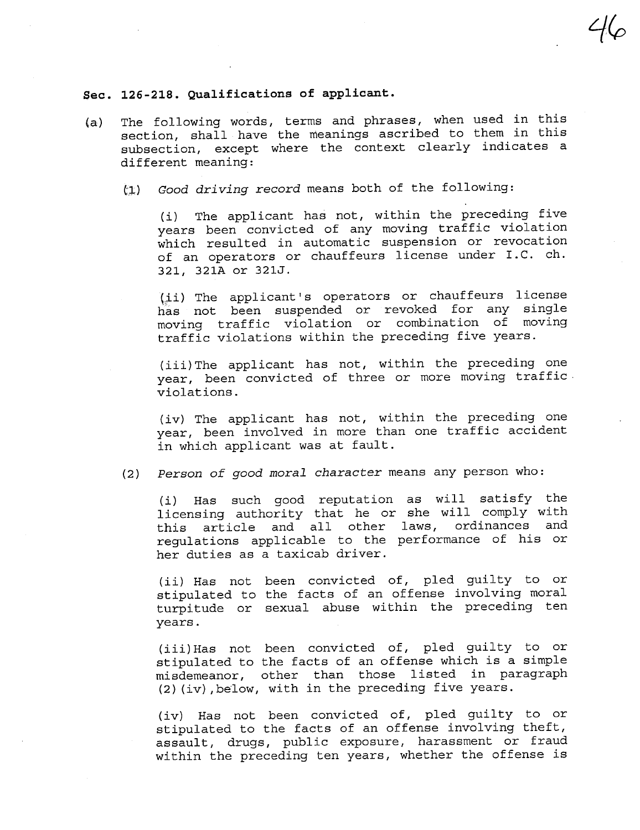# Sec. 126-218. Qualifications of applicant.

- 4a) The following words, terms and phrases, when used in this section, shall have the meanings ascribed to them in this subsection, except where the context clearly indicates a different meaning:
	- ti) Good driving record means both of the following:

(i) The applicant has not, within the preceding five years been convicted of any moving traffic violation which resulted in automatic suspension or revocation of an operators or chauffeurs license under I.C. ch. 321, 321A or 321J.

(ii) The applicant's operators or chauffeurs license has not been suspended or revoked for any single moving traffic violation or combination of moving traffic violations within the preceding five years.

(iii) The applicant has not, within the preceding one year, been convicted of three or more moving traffic. violations.

(iv) The applicant has not, within the preceding one year, been involved in more than one traffic accident in which applicant was at fault.

(2) Person of good moral character means any person who:

(i) Has such good reputation as will satisfy the licensing authority that he or she will comply with this article and all other laws, ordinances and regulations applicable to the performance of his or her duties as a taxicab driver.

(ii) Has not been convicted of, pled guilty to or stipulated to the facts of an offense involving moral turpitude or sexual abuse within the preceding ten years.

(iii)Has not been convicted of, pled guilty to or stipulated to the facts of an offense which is a simple misdemeanor, other than those listed in paragraph (2) (iv) ,below, with in the preceding five years.

(iv) Has not been convicted of, pled guilty to or stipulated to the facts of an offense involving theft, assault, drugs, public exposure, harassment or fraud within the preceding ten years, whether the offense is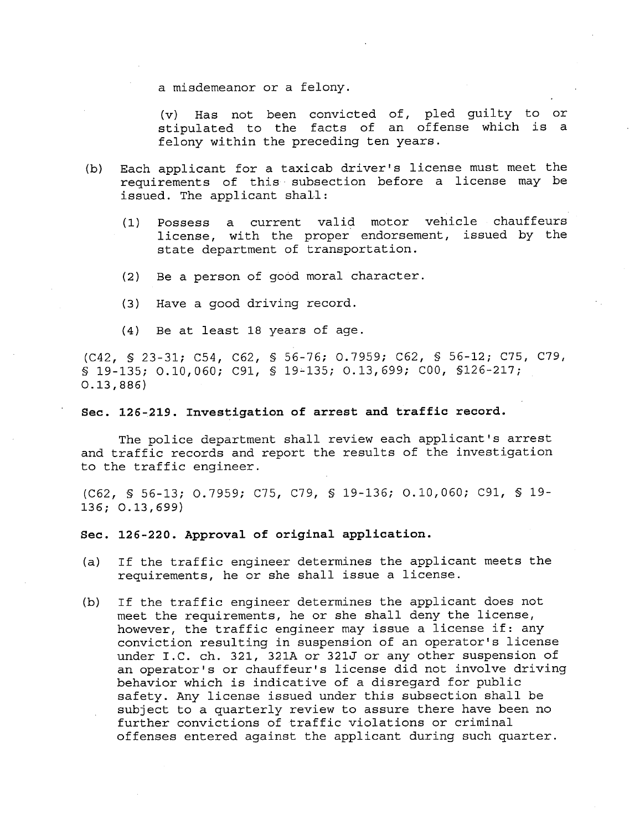a misdemeanor or a felony.

(v) Has not been convicted of, pled guilty to or stipulated to the facts of an offense which is a felony within the preceding ten years.

- (b) Each applicant for a taxicab driver's license must meet the requirements of this. subsection before a license may be issued. The applicant shall:
	- (1) Possess a current valid motor vehicle chauffeurs license, with the proper endorsement, issued by the state department of transportation.
	- (2) Be a person of good moral character.
	- (3) Have a good driving record.
	- (4) Be at least 18 years of age.

(C42, § 23-31; C54, C62, § 56-76; 0.7959; C62, § 56-12; C75, C79, § 19-135; 0.10,060; C91, § 19~135; 0.13,699; COO, §126-217; 0.13,886)

Sec. 126-219. Investigation of arrest and traffic record.

The police department shall review each applicant's arrest and traffic records and report the results of the investigation to the traffic engineer.

(C62, § 56-13; 0.7959; C75, C79, § 19-136; 0.10,060; C91, § 19- 136; 0.13,699)

Sec. 126-220. Approval of original application.

- (a) If the traffic engineer determines the applicant meets the requirements, he or she shall issue a license.
- (b) If the traffic engineer determines the applicant does not meet the requirements, he or she shall deny the license, however, the traffic engineer may issue a license if: any conviction resulting in suspension of an operator's license under I.C. ch. 321, 321A or 321J or any other suspension of an operator's or chauffeur's license did not involve driving behavior which is indicative of a disregard for public safety. Any license issued under this subsection shall be subject to a quarterly review to assure there have been no further convictions of traffic violations or criminal offenses entered against the applicant during such quarter.